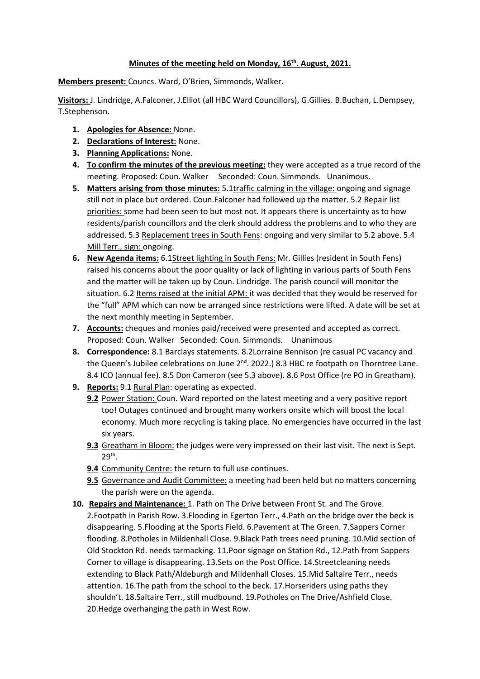## **Minutes of the meeting held on Monday, 16th. August, 2021.**

**Members present:** Councs. Ward, O'Brien, Simmonds, Walker.

**Visitors:** J. Lindridge, A.Falconer, J.Elliot (all HBC Ward Councillors), G.Gillies. B.Buchan, L.Dempsey, T.Stephenson.

- **1. Apologies for Absence:** None.
- **2. Declarations of Interest:** None.
- **3. Planning Applications:** None.
- **4. To confirm the minutes of the previous meeting:** they were accepted as a true record of the meeting. Proposed: Coun. Walker Seconded: Coun. Simmonds. Unanimous.
- **5. Matters arising from those minutes:** 5.1traffic calming in the village: ongoing and signage still not in place but ordered. Coun.Falconer had followed up the matter. 5.2 Repair list priorities: some had been seen to but most not. It appears there is uncertainty as to how residents/parish councillors and the clerk should address the problems and to who they are addressed. 5.3 Replacement trees in South Fens: ongoing and very similar to 5.2 above. 5.4 Mill Terr., sign: ongoing.
- **6. New Agenda items:** 6.1Street lighting in South Fens: Mr. Gillies (resident in South Fens) raised his concerns about the poor quality or lack of lighting in various parts of South Fens and the matter will be taken up by Coun. Lindridge. The parish council will monitor the situation. 6.2 Items raised at the initial APM: it was decided that they would be reserved for the "full" APM which can now be arranged since restrictions were lifted. A date will be set at the next monthly meeting in September.
- **7. Accounts:** cheques and monies paid/received were presented and accepted as correct. Proposed: Coun. Walker Seconded: Coun. Simmonds. Unanimous
- **8. Correspondence:** 8.1 Barclays statements. 8.2Lorraine Bennison (re casual PC vacancy and the Queen's Jubilee celebrations on June  $2^{nd}$ . 2022.) 8.3 HBC re footpath on Thorntree Lane. 8.4 ICO (annual fee). 8.5 Don Cameron (see 5.3 above). 8.6 Post Office (re PO in Greatham).
- **9. Reports:** 9.1 Rural Plan: operating as expected.
	- **9.2** Power Station: Coun. Ward reported on the latest meeting and a very positive report too! Outages continued and brought many workers onsite which will boost the local economy. Much more recycling is taking place. No emergencies have occurred in the last six years.
	- **9.3** Greatham in Bloom: the judges were very impressed on their last visit. The next is Sept. 29th .
	- **9.4** Community Centre: the return to full use continues.
	- **9.5** Governance and Audit Committee: a meeting had been held but no matters concerning the parish were on the agenda.
- **10. Repairs and Maintenance:** 1. Path on The Drive between Front St. and The Grove. 2.Footpath in Parish Row. 3.Flooding in Egerton Terr., 4.Path on the bridge over the beck is disappearing. 5.Flooding at the Sports Field. 6.Pavement at The Green. 7.Sappers Corner flooding. 8.Potholes in Mildenhall Close. 9.Black Path trees need pruning. 10.Mid section of Old Stockton Rd. needs tarmacking. 11.Poor signage on Station Rd., 12.Path from Sappers Corner to village is disappearing. 13.Sets on the Post Office. 14.Streetcleaning needs extending to Black Path/Aldeburgh and Mildenhall Closes. 15.Mid Saltaire Terr., needs attention. 16.The path from the school to the beck. 17.Horseriders using paths they shouldn't. 18.Saltaire Terr., still mudbound. 19.Potholes on The Drive/Ashfield Close. 20.Hedge overhanging the path in West Row.